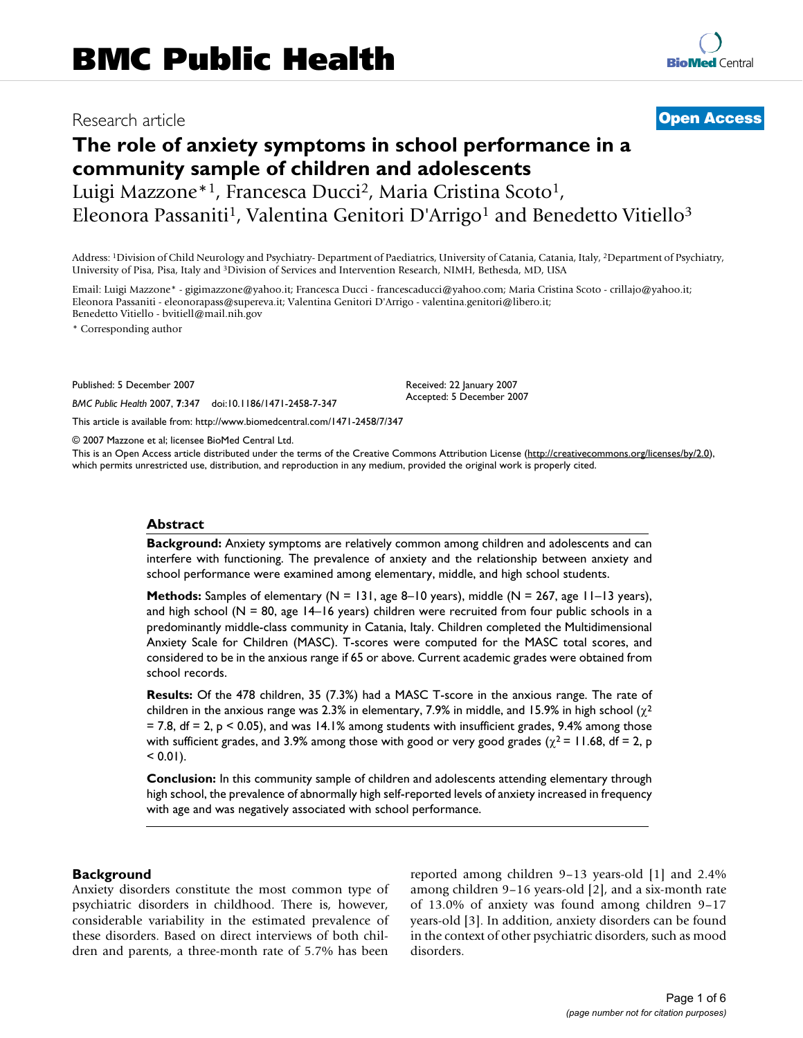# Research article **[Open Access](http://www.biomedcentral.com/info/about/charter/)**

# **The role of anxiety symptoms in school performance in a community sample of children and adolescents**

Luigi Mazzone<sup>\*1</sup>, Francesca Ducci<sup>2</sup>, Maria Cristina Scoto<sup>1</sup>, Eleonora Passaniti<sup>1</sup>, Valentina Genitori D'Arrigo<sup>1</sup> and Benedetto Vitiello<sup>3</sup>

Address: 1Division of Child Neurology and Psychiatry- Department of Paediatrics, University of Catania, Catania, Italy, 2Department of Psychiatry, University of Pisa, Pisa, Italy and 3Division of Services and Intervention Research, NIMH, Bethesda, MD, USA

Email: Luigi Mazzone\* - gigimazzone@yahoo.it; Francesca Ducci - francescaducci@yahoo.com; Maria Cristina Scoto - crillajo@yahoo.it; Eleonora Passaniti - eleonorapass@supereva.it; Valentina Genitori D'Arrigo - valentina.genitori@libero.it; Benedetto Vitiello - bvitiell@mail.nih.gov

\* Corresponding author

Published: 5 December 2007

*BMC Public Health* 2007, **7**:347 doi:10.1186/1471-2458-7-347

[This article is available from: http://www.biomedcentral.com/1471-2458/7/347](http://www.biomedcentral.com/1471-2458/7/347)

© 2007 Mazzone et al; licensee BioMed Central Ltd.

This is an Open Access article distributed under the terms of the Creative Commons Attribution License [\(http://creativecommons.org/licenses/by/2.0\)](http://creativecommons.org/licenses/by/2.0), which permits unrestricted use, distribution, and reproduction in any medium, provided the original work is properly cited.

Received: 22 January 2007 Accepted: 5 December 2007

#### **Abstract**

**Background:** Anxiety symptoms are relatively common among children and adolescents and can interfere with functioning. The prevalence of anxiety and the relationship between anxiety and school performance were examined among elementary, middle, and high school students.

**Methods:** Samples of elementary (N = 131, age 8–10 years), middle (N = 267, age 11–13 years), and high school ( $N = 80$ , age  $14-16$  years) children were recruited from four public schools in a predominantly middle-class community in Catania, Italy. Children completed the Multidimensional Anxiety Scale for Children (MASC). T-scores were computed for the MASC total scores, and considered to be in the anxious range if 65 or above. Current academic grades were obtained from school records.

**Results:** Of the 478 children, 35 (7.3%) had a MASC T-score in the anxious range. The rate of children in the anxious range was 2.3% in elementary, 7.9% in middle, and 15.9% in high school ( $\chi^2$  $= 7.8$ , df  $= 2$ , p  $\le 0.05$ ), and was 14.1% among students with insufficient grades, 9.4% among those with sufficient grades, and 3.9% among those with good or very good grades ( $\chi^2$  = 11.68, df = 2, p  $< 0.01$ ).

**Conclusion:** In this community sample of children and adolescents attending elementary through high school, the prevalence of abnormally high self-reported levels of anxiety increased in frequency with age and was negatively associated with school performance.

#### **Background**

Anxiety disorders constitute the most common type of psychiatric disorders in childhood. There is, however, considerable variability in the estimated prevalence of these disorders. Based on direct interviews of both children and parents, a three-month rate of 5.7% has been

reported among children 9–13 years-old [1] and 2.4% among children 9–16 years-old [2], and a six-month rate of 13.0% of anxiety was found among children 9–17 years-old [3]. In addition, anxiety disorders can be found in the context of other psychiatric disorders, such as mood disorders.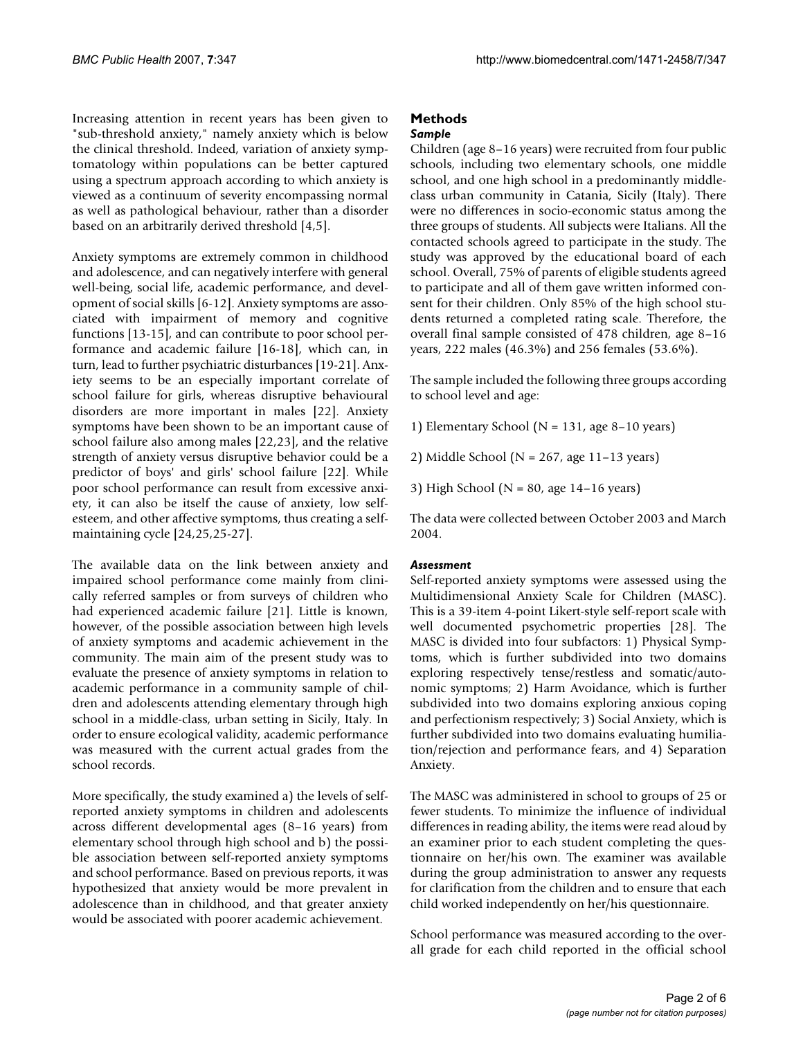Increasing attention in recent years has been given to "sub-threshold anxiety," namely anxiety which is below the clinical threshold. Indeed, variation of anxiety symptomatology within populations can be better captured using a spectrum approach according to which anxiety is viewed as a continuum of severity encompassing normal as well as pathological behaviour, rather than a disorder based on an arbitrarily derived threshold [4,5].

Anxiety symptoms are extremely common in childhood and adolescence, and can negatively interfere with general well-being, social life, academic performance, and development of social skills [6-12]. Anxiety symptoms are associated with impairment of memory and cognitive functions [13-15], and can contribute to poor school performance and academic failure [16-18], which can, in turn, lead to further psychiatric disturbances [19-21]. Anxiety seems to be an especially important correlate of school failure for girls, whereas disruptive behavioural disorders are more important in males [22]. Anxiety symptoms have been shown to be an important cause of school failure also among males [22,23], and the relative strength of anxiety versus disruptive behavior could be a predictor of boys' and girls' school failure [22]. While poor school performance can result from excessive anxiety, it can also be itself the cause of anxiety, low selfesteem, and other affective symptoms, thus creating a selfmaintaining cycle [24,25,25-27].

The available data on the link between anxiety and impaired school performance come mainly from clinically referred samples or from surveys of children who had experienced academic failure [21]. Little is known, however, of the possible association between high levels of anxiety symptoms and academic achievement in the community. The main aim of the present study was to evaluate the presence of anxiety symptoms in relation to academic performance in a community sample of children and adolescents attending elementary through high school in a middle-class, urban setting in Sicily, Italy. In order to ensure ecological validity, academic performance was measured with the current actual grades from the school records.

More specifically, the study examined a) the levels of selfreported anxiety symptoms in children and adolescents across different developmental ages (8–16 years) from elementary school through high school and b) the possible association between self-reported anxiety symptoms and school performance. Based on previous reports, it was hypothesized that anxiety would be more prevalent in adolescence than in childhood, and that greater anxiety would be associated with poorer academic achievement.

# **Methods**

#### *Sample*

Children (age 8–16 years) were recruited from four public schools, including two elementary schools, one middle school, and one high school in a predominantly middleclass urban community in Catania, Sicily (Italy). There were no differences in socio-economic status among the three groups of students. All subjects were Italians. All the contacted schools agreed to participate in the study. The study was approved by the educational board of each school. Overall, 75% of parents of eligible students agreed to participate and all of them gave written informed consent for their children. Only 85% of the high school students returned a completed rating scale. Therefore, the overall final sample consisted of 478 children, age 8–16 years, 222 males (46.3%) and 256 females (53.6%).

The sample included the following three groups according to school level and age:

1) Elementary School ( $N = 131$ , age 8–10 years)

2) Middle School ( $N = 267$ , age 11-13 years)

3) High School (N = 80, age 14–16 years)

The data were collected between October 2003 and March 2004

#### *Assessment*

Self-reported anxiety symptoms were assessed using the Multidimensional Anxiety Scale for Children (MASC). This is a 39-item 4-point Likert-style self-report scale with well documented psychometric properties [28]. The MASC is divided into four subfactors: 1) Physical Symptoms, which is further subdivided into two domains exploring respectively tense/restless and somatic/autonomic symptoms; 2) Harm Avoidance, which is further subdivided into two domains exploring anxious coping and perfectionism respectively; 3) Social Anxiety, which is further subdivided into two domains evaluating humiliation/rejection and performance fears, and 4) Separation Anxiety.

The MASC was administered in school to groups of 25 or fewer students. To minimize the influence of individual differences in reading ability, the items were read aloud by an examiner prior to each student completing the questionnaire on her/his own. The examiner was available during the group administration to answer any requests for clarification from the children and to ensure that each child worked independently on her/his questionnaire.

School performance was measured according to the overall grade for each child reported in the official school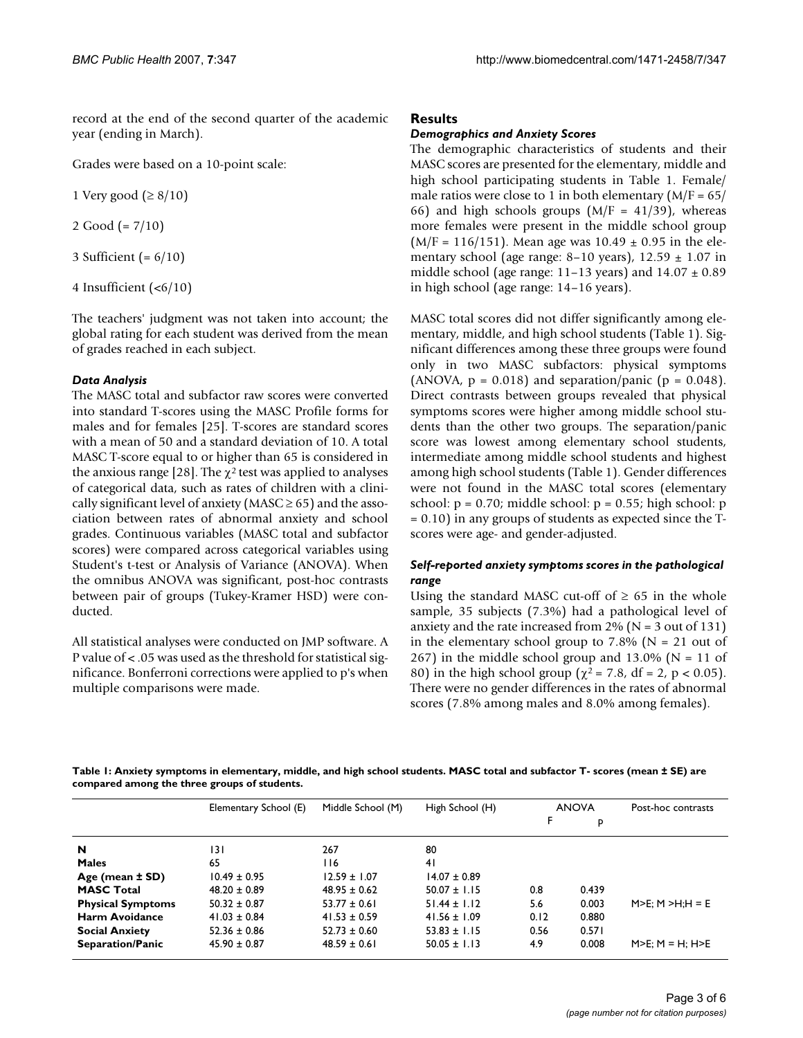record at the end of the second quarter of the academic year (ending in March).

Grades were based on a 10-point scale:

1 Very good ( $\geq 8/10$ )

2 Good (= 7/10)

3 Sufficient (= 6/10)

4 Insufficient (<6/10)

The teachers' judgment was not taken into account; the global rating for each student was derived from the mean of grades reached in each subject.

## *Data Analysis*

The MASC total and subfactor raw scores were converted into standard T-scores using the MASC Profile forms for males and for females [25]. T-scores are standard scores with a mean of 50 and a standard deviation of 10. A total MASC T-score equal to or higher than 65 is considered in the anxious range [28]. The  $\chi^2$  test was applied to analyses of categorical data, such as rates of children with a clinically significant level of anxiety (MASC  $\geq$  65) and the association between rates of abnormal anxiety and school grades. Continuous variables (MASC total and subfactor scores) were compared across categorical variables using Student's t-test or Analysis of Variance (ANOVA). When the omnibus ANOVA was significant, post-hoc contrasts between pair of groups (Tukey-Kramer HSD) were conducted.

All statistical analyses were conducted on JMP software. A P value of < .05 was used as the threshold for statistical significance. Bonferroni corrections were applied to p's when multiple comparisons were made.

## **Results**

#### *Demographics and Anxiety Scores*

The demographic characteristics of students and their MASC scores are presented for the elementary, middle and high school participating students in Table 1. Female/ male ratios were close to 1 in both elementary  $(M/F = 65/$ 66) and high schools groups ( $M/F = 41/39$ ), whereas more females were present in the middle school group  $(M/F = 116/151)$ . Mean age was  $10.49 \pm 0.95$  in the elementary school (age range: 8–10 years),  $12.59 \pm 1.07$  in middle school (age range: 11–13 years) and  $14.07 \pm 0.89$ in high school (age range: 14–16 years).

MASC total scores did not differ significantly among elementary, middle, and high school students (Table 1). Significant differences among these three groups were found only in two MASC subfactors: physical symptoms (ANOVA,  $p = 0.018$ ) and separation/panic ( $p = 0.048$ ). Direct contrasts between groups revealed that physical symptoms scores were higher among middle school students than the other two groups. The separation/panic score was lowest among elementary school students, intermediate among middle school students and highest among high school students (Table 1). Gender differences were not found in the MASC total scores (elementary school:  $p = 0.70$ ; middle school:  $p = 0.55$ ; high school:  $p$ = 0.10) in any groups of students as expected since the Tscores were age- and gender-adjusted.

#### *Self-reported anxiety symptoms scores in the pathological range*

Using the standard MASC cut-off of  $\geq 65$  in the whole sample, 35 subjects (7.3%) had a pathological level of anxiety and the rate increased from  $2\%$  (N = 3 out of 131) in the elementary school group to  $7.8\%$  (N = 21 out of 267) in the middle school group and 13.0% ( $N = 11$  of 80) in the high school group ( $\chi^2$  = 7.8, df = 2, p < 0.05). There were no gender differences in the rates of abnormal scores (7.8% among males and 8.0% among females).

**Table 1: Anxiety symptoms in elementary, middle, and high school students. MASC total and subfactor T- scores (mean ± SE) are compared among the three groups of students.**

|                          | Elementary School (E) | Middle School (M) | High School (H)  |      | <b>ANOVA</b> | Post-hoc contrasts        |
|--------------------------|-----------------------|-------------------|------------------|------|--------------|---------------------------|
|                          |                       |                   |                  | F    | P            |                           |
| N                        | 131                   | 267               | 80               |      |              |                           |
| <b>Males</b>             | 65                    | 116               | 4 <sub>1</sub>   |      |              |                           |
| Age (mean $±$ SD)        | $10.49 \pm 0.95$      | $12.59 \pm 1.07$  | $14.07 \pm 0.89$ |      |              |                           |
| <b>MASC Total</b>        | $48.20 \pm 0.89$      | $48.95 \pm 0.62$  | $50.07 \pm 1.15$ | 0.8  | 0.439        |                           |
| <b>Physical Symptoms</b> | $50.32 \pm 0.87$      | $53.77 \pm 0.61$  | $51.44 \pm 1.12$ | 5.6  | 0.003        | $M>E: M > H:H = E$        |
| <b>Harm Avoidance</b>    | $41.03 \pm 0.84$      | $41.53 \pm 0.59$  | $41.56 \pm 1.09$ | 0.12 | 0.880        |                           |
| <b>Social Anxiety</b>    | $52.36 \pm 0.86$      | $52.73 \pm 0.60$  | $53.83 \pm 1.15$ | 0.56 | 0.571        |                           |
| <b>Separation/Panic</b>  | $45.90 \pm 0.87$      | $48.59 \pm 0.61$  | $50.05 \pm 1.13$ | 4.9  | 0.008        | $M>E$ ; $M = H$ ; $H > E$ |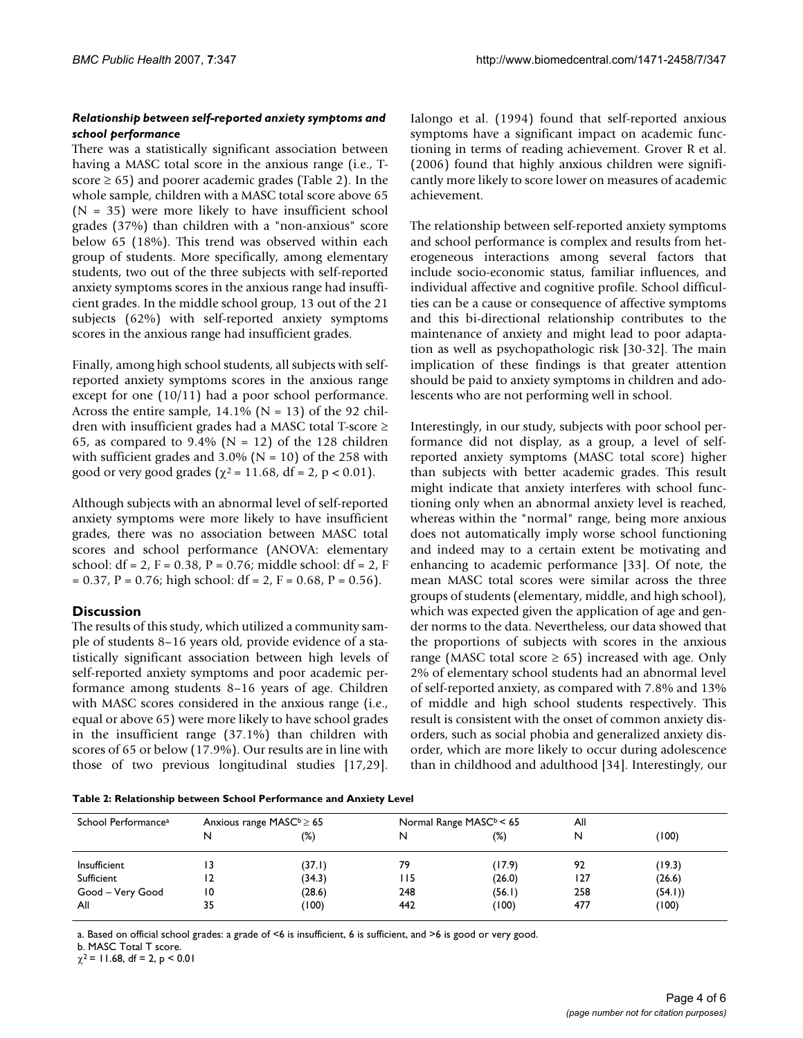#### *Relationship between self-reported anxiety symptoms and school performance*

There was a statistically significant association between having a MASC total score in the anxious range (i.e., Tscore  $\geq 65$ ) and poorer academic grades (Table 2). In the whole sample, children with a MASC total score above 65  $(N = 35)$  were more likely to have insufficient school grades (37%) than children with a "non-anxious" score below 65 (18%). This trend was observed within each group of students. More specifically, among elementary students, two out of the three subjects with self-reported anxiety symptoms scores in the anxious range had insufficient grades. In the middle school group, 13 out of the 21 subjects (62%) with self-reported anxiety symptoms scores in the anxious range had insufficient grades.

Finally, among high school students, all subjects with selfreported anxiety symptoms scores in the anxious range except for one (10/11) had a poor school performance. Across the entire sample,  $14.1\%$  (N = 13) of the 92 children with insufficient grades had a MASC total T-score ≥ 65, as compared to 9.4% ( $N = 12$ ) of the 128 children with sufficient grades and  $3.0\%$  (N = 10) of the 258 with good or very good grades ( $\chi^2$  = 11.68, df = 2, p < 0.01).

Although subjects with an abnormal level of self-reported anxiety symptoms were more likely to have insufficient grades, there was no association between MASC total scores and school performance (ANOVA: elementary school: df = 2, F =  $0.38$ , P =  $0.76$ ; middle school: df = 2, F  $= 0.37$ , P = 0.76; high school: df = 2, F = 0.68, P = 0.56).

## **Discussion**

The results of this study, which utilized a community sample of students 8–16 years old, provide evidence of a statistically significant association between high levels of self-reported anxiety symptoms and poor academic performance among students 8–16 years of age. Children with MASC scores considered in the anxious range (i.e., equal or above 65) were more likely to have school grades in the insufficient range (37.1%) than children with scores of 65 or below (17.9%). Our results are in line with those of two previous longitudinal studies [17,29].

Ialongo et al. (1994) found that self-reported anxious symptoms have a significant impact on academic functioning in terms of reading achievement. Grover R et al. (2006) found that highly anxious children were significantly more likely to score lower on measures of academic achievement.

The relationship between self-reported anxiety symptoms and school performance is complex and results from heterogeneous interactions among several factors that include socio-economic status, familiar influences, and individual affective and cognitive profile. School difficulties can be a cause or consequence of affective symptoms and this bi-directional relationship contributes to the maintenance of anxiety and might lead to poor adaptation as well as psychopathologic risk [30-32]. The main implication of these findings is that greater attention should be paid to anxiety symptoms in children and adolescents who are not performing well in school.

Interestingly, in our study, subjects with poor school performance did not display, as a group, a level of selfreported anxiety symptoms (MASC total score) higher than subjects with better academic grades. This result might indicate that anxiety interferes with school functioning only when an abnormal anxiety level is reached, whereas within the "normal" range, being more anxious does not automatically imply worse school functioning and indeed may to a certain extent be motivating and enhancing to academic performance [33]. Of note, the mean MASC total scores were similar across the three groups of students (elementary, middle, and high school), which was expected given the application of age and gender norms to the data. Nevertheless, our data showed that the proportions of subjects with scores in the anxious range (MASC total score  $\geq 65$ ) increased with age. Only 2% of elementary school students had an abnormal level of self-reported anxiety, as compared with 7.8% and 13% of middle and high school students respectively. This result is consistent with the onset of common anxiety disorders, such as social phobia and generalized anxiety disorder, which are more likely to occur during adolescence than in childhood and adulthood [34]. Interestingly, our

**Table 2: Relationship between School Performance and Anxiety Level**

| School Performance <sup>a</sup> |    | Anxious range $MASC^b \ge 65$ |       | Normal Range $MASCb < 65$ | All |        |
|---------------------------------|----|-------------------------------|-------|---------------------------|-----|--------|
|                                 | N  | $(\%)$                        | N     | (%)                       | N   | (100)  |
| Insufficient                    | 13 | (37.1)                        | 79    | (17.9)                    | 92  | (19.3) |
| Sufficient                      | 12 | (34.3)                        | I I 5 | (26.0)                    | 127 | (26.6) |
| Good - Very Good                | 10 | (28.6)                        | 248   | (56.1)                    | 258 | (54.1) |
| All                             | 35 | (100)                         | 442   | (100)                     | 477 | (100)  |

a. Based on official school grades: a grade of <6 is insufficient, 6 is sufficient, and >6 is good or very good.

b. MASC Total T score.

 $\chi^2$  = 11.68, df = 2, p < 0.01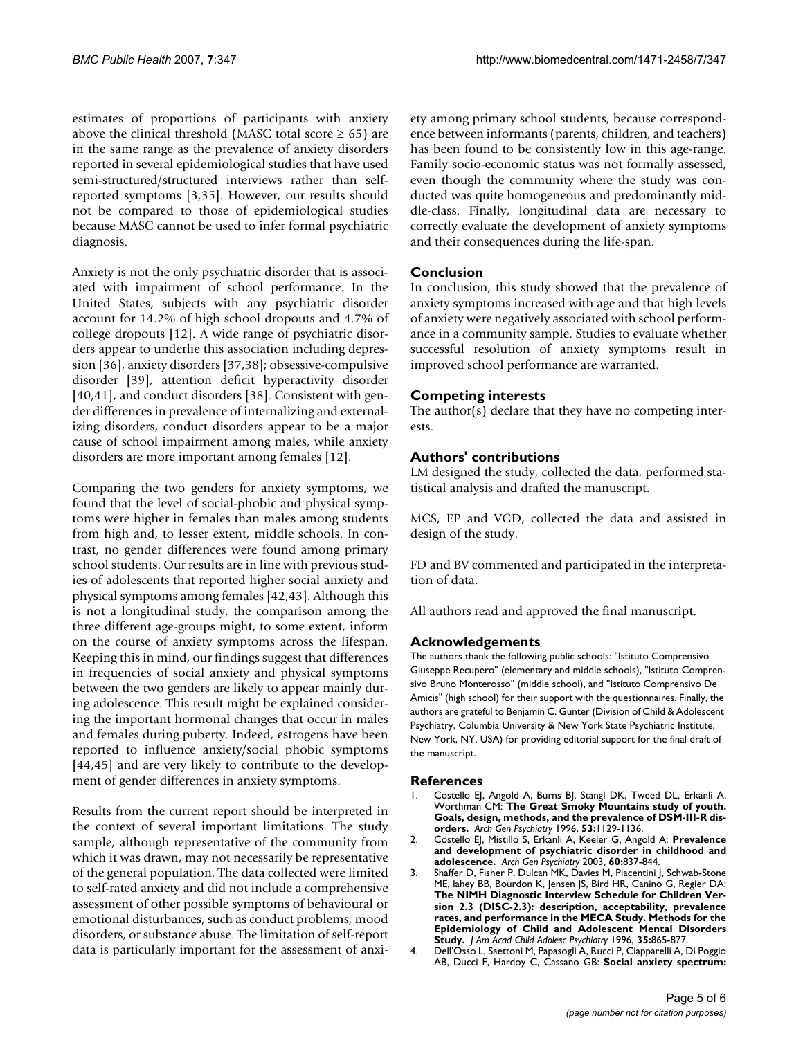estimates of proportions of participants with anxiety above the clinical threshold (MASC total score  $\geq$  65) are in the same range as the prevalence of anxiety disorders reported in several epidemiological studies that have used semi-structured/structured interviews rather than selfreported symptoms [3,35]. However, our results should not be compared to those of epidemiological studies because MASC cannot be used to infer formal psychiatric diagnosis.

Anxiety is not the only psychiatric disorder that is associated with impairment of school performance. In the United States, subjects with any psychiatric disorder account for 14.2% of high school dropouts and 4.7% of college dropouts [12]. A wide range of psychiatric disorders appear to underlie this association including depression [36], anxiety disorders [37,38]; obsessive-compulsive disorder [39], attention deficit hyperactivity disorder [40,41], and conduct disorders [38]. Consistent with gender differences in prevalence of internalizing and externalizing disorders, conduct disorders appear to be a major cause of school impairment among males, while anxiety disorders are more important among females [12].

Comparing the two genders for anxiety symptoms, we found that the level of social-phobic and physical symptoms were higher in females than males among students from high and, to lesser extent, middle schools. In contrast, no gender differences were found among primary school students. Our results are in line with previous studies of adolescents that reported higher social anxiety and physical symptoms among females [42,43]. Although this is not a longitudinal study, the comparison among the three different age-groups might, to some extent, inform on the course of anxiety symptoms across the lifespan. Keeping this in mind, our findings suggest that differences in frequencies of social anxiety and physical symptoms between the two genders are likely to appear mainly during adolescence. This result might be explained considering the important hormonal changes that occur in males and females during puberty. Indeed, estrogens have been reported to influence anxiety/social phobic symptoms [44,45] and are very likely to contribute to the development of gender differences in anxiety symptoms.

Results from the current report should be interpreted in the context of several important limitations. The study sample, although representative of the community from which it was drawn, may not necessarily be representative of the general population. The data collected were limited to self-rated anxiety and did not include a comprehensive assessment of other possible symptoms of behavioural or emotional disturbances, such as conduct problems, mood disorders, or substance abuse. The limitation of self-report data is particularly important for the assessment of anxiety among primary school students, because correspondence between informants (parents, children, and teachers) has been found to be consistently low in this age-range. Family socio-economic status was not formally assessed, even though the community where the study was conducted was quite homogeneous and predominantly middle-class. Finally, longitudinal data are necessary to correctly evaluate the development of anxiety symptoms and their consequences during the life-span.

## **Conclusion**

In conclusion, this study showed that the prevalence of anxiety symptoms increased with age and that high levels of anxiety were negatively associated with school performance in a community sample. Studies to evaluate whether successful resolution of anxiety symptoms result in improved school performance are warranted.

## **Competing interests**

The author(s) declare that they have no competing interests.

## **Authors' contributions**

LM designed the study, collected the data, performed statistical analysis and drafted the manuscript.

MCS, EP and VGD, collected the data and assisted in design of the study.

FD and BV commented and participated in the interpretation of data.

All authors read and approved the final manuscript.

#### **Acknowledgements**

The authors thank the following public schools: "Istituto Comprensivo Giuseppe Recupero" (elementary and middle schools), "Istituto Comprensivo Bruno Monterosso" (middle school), and "Istituto Comprensivo De Amicis" (high school) for their support with the questionnaires. Finally, the authors are grateful to Benjamin C. Gunter (Division of Child & Adolescent Psychiatry, Columbia University & New York State Psychiatric Institute, New York, NY, USA) for providing editorial support for the final draft of the manuscript.

#### **References**

- Costello EJ, Angold A, Burns BJ, Stangl DK, Tweed DL, Erkanli A, Worthman CM: **[The Great Smoky Mountains study of youth.](http://www.ncbi.nlm.nih.gov/entrez/query.fcgi?cmd=Retrieve&db=PubMed&dopt=Abstract&list_uids=8956679) [Goals, design, methods, and the prevalence of DSM-III-R dis](http://www.ncbi.nlm.nih.gov/entrez/query.fcgi?cmd=Retrieve&db=PubMed&dopt=Abstract&list_uids=8956679)[orders.](http://www.ncbi.nlm.nih.gov/entrez/query.fcgi?cmd=Retrieve&db=PubMed&dopt=Abstract&list_uids=8956679)** *Arch Gen Psychiatry* 1996, **53:**1129-1136.
- 2. Costello EJ, Mistillo S, Erkanli A, Keeler G, Angold A: **[Prevalence](http://www.ncbi.nlm.nih.gov/entrez/query.fcgi?cmd=Retrieve&db=PubMed&dopt=Abstract&list_uids=12912767) [and development of psychiatric disorder in childhood and](http://www.ncbi.nlm.nih.gov/entrez/query.fcgi?cmd=Retrieve&db=PubMed&dopt=Abstract&list_uids=12912767) [adolescence.](http://www.ncbi.nlm.nih.gov/entrez/query.fcgi?cmd=Retrieve&db=PubMed&dopt=Abstract&list_uids=12912767)** *Arch Gen Psychiatry* 2003, **60:**837-844.
- 3. Shaffer D, Fisher P, Dulcan MK, Davies M, Piacentini J, Schwab-Stone ME, lahey BB, Bourdon K, Jensen JS, Bird HR, Canino G, Regier DA: **The NIMH Diagnostic Interview Schedule for Children Ver[sion 2.3 \(DISC-2.3\): description, acceptability, prevalence](http://www.ncbi.nlm.nih.gov/entrez/query.fcgi?cmd=Retrieve&db=PubMed&dopt=Abstract&list_uids=8768346) rates, and performance in the MECA Study. Methods for the Epidemiology of Child and Adolescent Mental Disorders [Study.](http://www.ncbi.nlm.nih.gov/entrez/query.fcgi?cmd=Retrieve&db=PubMed&dopt=Abstract&list_uids=8768346)** *J Am Acad Child Adolesc Psychiatry* 1996, **35:**865-877.
- 4. Dell'Osso L, Saettoni M, Papasogli A, Rucci P, Ciapparelli A, Di Poggio AB, Ducci F, Hardoy C, Cassano GB: **[Social anxiety spectrum:](http://www.ncbi.nlm.nih.gov/entrez/query.fcgi?cmd=Retrieve&db=PubMed&dopt=Abstract&list_uids=11960083)**